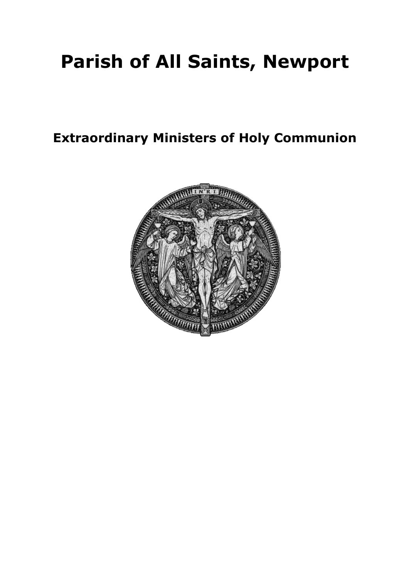# **Parish of All Saints, Newport**

**Extraordinary Ministers of Holy Communion**

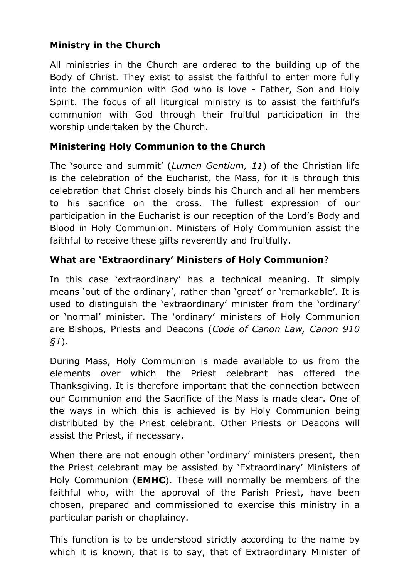## **Ministry in the Church**

All ministries in the Church are ordered to the building up of the Body of Christ. They exist to assist the faithful to enter more fully into the communion with God who is love - Father, Son and Holy Spirit. The focus of all liturgical ministry is to assist the faithful's communion with God through their fruitful participation in the worship undertaken by the Church.

#### **Ministering Holy Communion to the Church**

The 'source and summit' (*Lumen Gentium, 11*) of the Christian life is the celebration of the Eucharist, the Mass, for it is through this celebration that Christ closely binds his Church and all her members to his sacrifice on the cross. The fullest expression of our participation in the Eucharist is our reception of the Lord's Body and Blood in Holy Communion. Ministers of Holy Communion assist the faithful to receive these gifts reverently and fruitfully.

#### **What are 'Extraordinary' Ministers of Holy Communion**?

In this case 'extraordinary' has a technical meaning. It simply means 'out of the ordinary', rather than 'great' or 'remarkable'. It is used to distinguish the 'extraordinary' minister from the 'ordinary' or 'normal' minister. The 'ordinary' ministers of Holy Communion are Bishops, Priests and Deacons (*Code of Canon Law, Canon 910 §1*).

During Mass, Holy Communion is made available to us from the elements over which the Priest celebrant has offered the Thanksgiving. It is therefore important that the connection between our Communion and the Sacrifice of the Mass is made clear. One of the ways in which this is achieved is by Holy Communion being distributed by the Priest celebrant. Other Priests or Deacons will assist the Priest, if necessary.

When there are not enough other 'ordinary' ministers present, then the Priest celebrant may be assisted by 'Extraordinary' Ministers of Holy Communion (**EMHC**). These will normally be members of the faithful who, with the approval of the Parish Priest, have been chosen, prepared and commissioned to exercise this ministry in a particular parish or chaplaincy.

This function is to be understood strictly according to the name by which it is known, that is to say, that of Extraordinary Minister of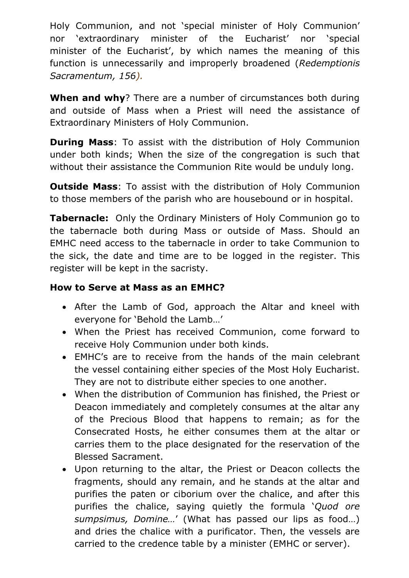Holy Communion, and not 'special minister of Holy Communion' nor 'extraordinary minister of the Eucharist' nor 'special minister of the Eucharist', by which names the meaning of this function is unnecessarily and improperly broadened (*Redemptionis Sacramentum, 156).*

**When and why**? There are a number of circumstances both during and outside of Mass when a Priest will need the assistance of Extraordinary Ministers of Holy Communion.

**During Mass**: To assist with the distribution of Holy Communion under both kinds; When the size of the congregation is such that without their assistance the Communion Rite would be unduly long.

**Outside Mass**: To assist with the distribution of Holy Communion to those members of the parish who are housebound or in hospital.

**Tabernacle:** Only the Ordinary Ministers of Holy Communion go to the tabernacle both during Mass or outside of Mass. Should an EMHC need access to the tabernacle in order to take Communion to the sick, the date and time are to be logged in the register. This register will be kept in the sacristy.

#### **How to Serve at Mass as an EMHC?**

- After the Lamb of God, approach the Altar and kneel with everyone for 'Behold the Lamb…'
- When the Priest has received Communion, come forward to receive Holy Communion under both kinds.
- EMHC's are to receive from the hands of the main celebrant the vessel containing either species of the Most Holy Eucharist. They are not to distribute either species to one another.
- When the distribution of Communion has finished, the Priest or Deacon immediately and completely consumes at the altar any of the Precious Blood that happens to remain; as for the Consecrated Hosts, he either consumes them at the altar or carries them to the place designated for the reservation of the Blessed Sacrament.
- Upon returning to the altar, the Priest or Deacon collects the fragments, should any remain, and he stands at the altar and purifies the paten or ciborium over the chalice, and after this purifies the chalice, saying quietly the formula '*Quod ore sumpsimus, Domine…*' (What has passed our lips as food…) and dries the chalice with a purificator. Then, the vessels are carried to the credence table by a minister (EMHC or server).